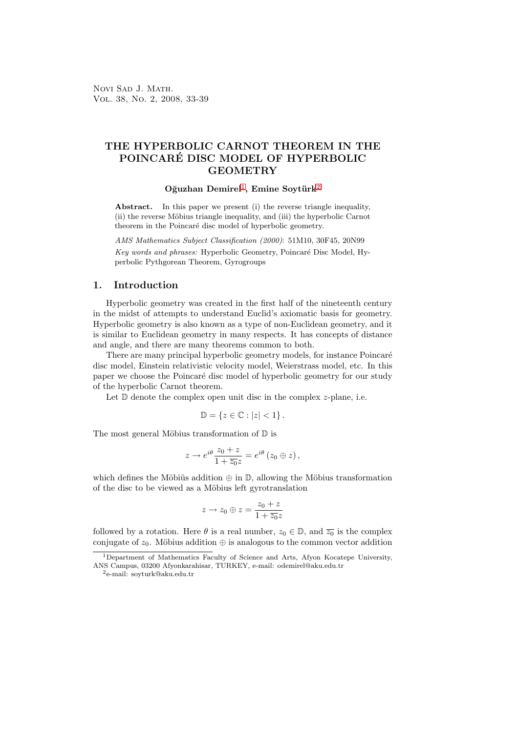# THE HYPERBOLIC CARNOT THEOREM IN THE POINCARÉ DISC MODEL OF HYPERBOLIC **GEOMETRY**

### Oğuzhan Demirel<sup>1</sup>, Emine Soytürk<sup>2</sup>

Abstract. In this paper we present (i) the reverse triangle inequality, (ii) the reverse Möbius triangle inequality, and (iii) the hyperbolic Carnot theorem in the Poincaré disc model [o](#page-0-0)f hyperbolic geomet[ry](#page-0-1).

AMS Mathematics Subject Classification (2000): 51M10, 30F45, 20N99 Key words and phrases: Hyperbolic Geometry, Poincaré Disc Model, Hyperbolic Pythgorean Theorem, Gyrogroups

### 1. Introduction

Hyperbolic geometry was created in the first half of the nineteenth century in the midst of attempts to understand Euclid's axiomatic basis for geometry. Hyperbolic geometry is also known as a type of non-Euclidean geometry, and it is similar to Euclidean geometry in many respects. It has concepts of distance and angle, and there are many theorems common to both.

There are many principal hyperbolic geometry models, for instance Poincaré disc model, Einstein relativistic velocity model, Weierstrass model, etc. In this paper we choose the Poincaré disc model of hyperbolic geometry for our study of the hyperbolic Carnot theorem.

Let  $D$  denote the complex open unit disc in the complex  $z$ -plane, i.e.

$$
\mathbb{D} = \{ z \in \mathbb{C} : |z| < 1 \} \, .
$$

The most general Möbius transformation of  $\mathbb D$  is

$$
z \to e^{i\theta} \frac{z_0 + z}{1 + \overline{z_0} z} = e^{i\theta} (z_0 \oplus z),
$$

which defines the Möbiüs addition  $\oplus$  in  $\mathbb{D}$ , allowing the Möbius transformation of the disc to be viewed as a Möbius left gyrotranslation

$$
z\to z_0\oplus z=\frac{z_0+z}{1+\overline{z_0}z}
$$

followed by a rotation. Here  $\theta$  is a real number,  $z_0 \in \mathbb{D}$ , and  $\overline{z_0}$  is the complex conjugate of  $z_0$ . Möbius addition  $\oplus$  is analogous to the common vector addition

<sup>&</sup>lt;sup>1</sup>Department of Mathematics Faculty of Science and Arts, Afyon Kocatepe University, ANS Campus, 03200 Afyonkarahisar, TURKEY, e-mail: odemirel@aku.edu.tr

<span id="page-0-1"></span><span id="page-0-0"></span><sup>2</sup>e-mail: soyturk@aku.edu.tr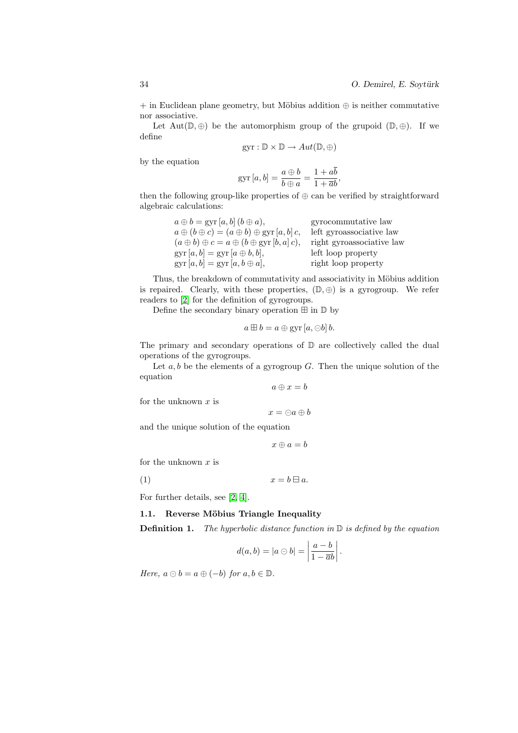$+$  in Euclidean plane geometry, but Möbius addition  $\oplus$  is neither commutative nor associative.

Let  $Aut(\mathbb{D}, \oplus)$  be the automorphism group of the grupoid  $(\mathbb{D}, \oplus)$ . If we define

$$
gyr: \mathbb{D} \times \mathbb{D} \to Aut(\mathbb{D}, \oplus)
$$

by the equation

$$
ext{gyr}[a, b] = \frac{a \oplus b}{b \oplus a} = \frac{1 + a\overline{b}}{1 + \overline{a}b},
$$

then the following group-like properties of  $\oplus$  can be verified by straightforward algebraic calculations:

| $a \oplus b = \text{gyr}[a, b] (b \oplus a),$                       | gyrocommutative law       |
|---------------------------------------------------------------------|---------------------------|
| $a \oplus (b \oplus c) = (a \oplus b) \oplus \text{gyr}[a, b] c,$   | left gyroassociative law  |
| $(a \oplus b) \oplus c = a \oplus (b \oplus \text{gyr } [b, a] c),$ | right gyroassociative law |
| $gyr[a, b] = gyr[a \oplus b, b],$                                   | left loop property        |
| $gyr[a, b] = gyr[a, b \oplus a],$                                   | right loop property       |

Thus, the breakdown of commutativity and associativity in Möbius addition is repaired. Clearly, with these properties,  $(\mathbb{D}, \oplus)$  is a gyrogroup. We refer readers to [2] for the definition of gyrogroups.

Define the secondary binary operation  $\boxplus$  in  $\mathbb D$  by

$$
a \boxplus b = a \oplus \text{gyr} [a, \ominus b] b.
$$

The prima[ry](#page-6-0) and secondary operations of  $\mathbb D$  are collectively called the dual operations of the gyrogroups.

Let  $a, b$  be the elements of a gyrogroup  $G$ . Then the unique solution of the equation

$$
a\oplus x=b
$$

for the unknown  $x$  is

$$
x = \ominus a \oplus b
$$

and the unique solution of the equation

$$
x\oplus a=b
$$

for the unknown  $x$  is

$$
(1) \t\t x = b \boxminus a.
$$

For further details, see [2, 4].

#### 1.1. Reverse Möbius Triangle Inequality

**Definition 1.** The hyperbolic distance function in  $\mathbb{D}$  is defined by the equation

$$
d(a,b) = |a \ominus b| = \left| \frac{a-b}{1 - \overline{a}b} \right|.
$$

Here,  $a \ominus b = a \oplus (-b)$  for  $a, b \in \mathbb{D}$ .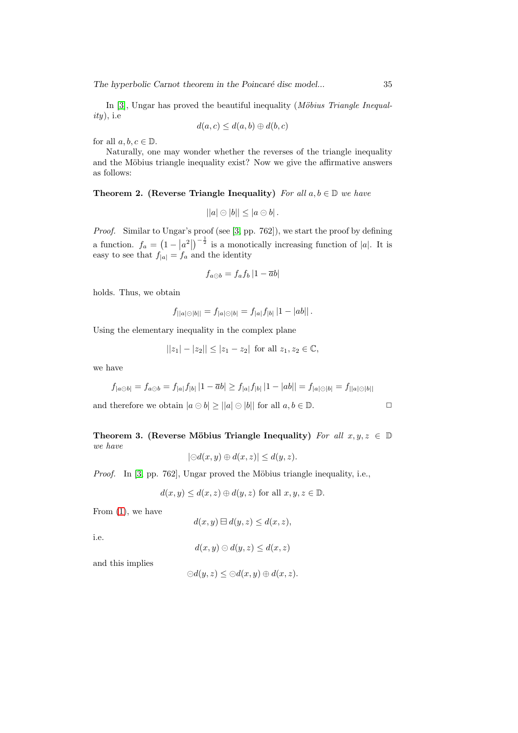In  $[3]$ , Ungar has proved the beautiful inequality (*Möbius Triangle Inequal* $ity)$ , i.e

$$
d(a,c) \leq d(a,b) \oplus d(b,c)
$$

for all  $a, b, c \in \mathbb{D}$ .

Na[tu](#page-6-1)rally, one may wonder whether the reverses of the triangle inequality and the Möbius triangle inequality exist? Now we give the affirmative answers as follows:

#### Theorem 2. (Reverse Triangle Inequality) For all  $a, b \in \mathbb{D}$  we have

$$
||a|\ominus|b||\leq |a\ominus b|.
$$

Proof. Similar to Ungar's proof (see [3, pp. 762]), we start the proof by defining a function.  $f_a =$ ¡ 1 −  $|a^2|$  $^{-\frac{1}{2}}$  is a monotically increasing function of |a|. It is easy to see that  $f_{|a|} = f_a$  and the identity

$$
f_{a\ominus b} = f_a f_b |1 - \overline{a}b|
$$

holds. Thus, we obtain

$$
f_{||a|| \odot |b||} = f_{|a|| \odot |b|} = f_{|a|} f_{|b|} |1 - |ab||.
$$

Using the elementary inequality in the complex plane

$$
||z_1| - |z_2|| \le |z_1 - z_2| \text{ for all } z_1, z_2 \in \mathbb{C},
$$

we have

$$
f_{|a\odot b|} = f_{a\odot b} = f_{|a|}f_{|b|} |1 - \overline{a}b| \ge f_{|a|}f_{|b|} |1 - |ab|| = f_{|a|\odot |b|} = f_{||a|\odot |b||}
$$

and therefore we obtain  $|a \ominus b| \ge ||a| \ominus |b||$  for all  $a, b \in \mathbb{D}$ .

Theorem 3. (Reverse Möbius Triangle Inequality) For all  $x, y, z \in \mathbb{D}$ we have  $|\ominus d(x, y) \oplus d(x, z)| \leq d(y, z).$ 

Proof. In [3, pp. 762], Ungar proved the M¨obius triangle inequality, i.e.,

 $d(x, y) \leq d(x, z) \oplus d(y, z)$  for all  $x, y, z \in \mathbb{D}$ .

From (1), [we](#page-6-1) have

 $d(x, y) \boxminus d(y, z) \leq d(x, z),$ 

i.e.

 $d(x, y) \ominus d(y, z) \leq d(x, z)$ 

and this implies

$$
\ominus d(y,z) \leq \ominus d(x,y) \oplus d(x,z).
$$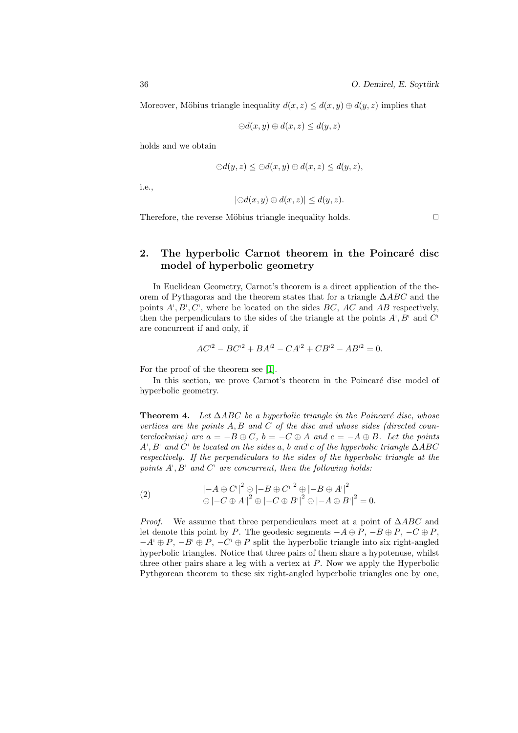Moreover, Möbius triangle inequality  $d(x, z) \leq d(x, y) \oplus d(y, z)$  implies that

$$
\ominus d(x, y) \oplus d(x, z) \le d(y, z)
$$

holds and we obtain

$$
\ominus d(y, z) \leq \ominus d(x, y) \oplus d(x, z) \leq d(y, z),
$$

i.e.,

$$
|\ominus d(x, y) \oplus d(x, z)| \leq d(y, z).
$$

Therefore, the reverse Möbius triangle inequality holds.  $\Box$ 

## 2. The hyperbolic Carnot theorem in the Poincaré disc model of hyperbolic geometry

In Euclidean Geometry, Carnot's theorem is a direct application of the theorem of Pythagoras and the theorem states that for a triangle ∆ABC and the points  $A^{\dagger}, B^{\dagger}, C^{\dagger}$ , where be located on the sides  $BC$ , AC and AB respectively, then the perpendiculars to the sides of the triangle at the points  $A^{\dagger}, B^{\dagger}$  and  $C^{\dagger}$ are concurrent if and only, if

$$
AC^{2} - BC^{2} + BA^{2} - CA^{2} + CB^{2} - AB^{2} = 0.
$$

For the proof of the theorem see [1].

In this section, we prove Carnot's theorem in the Poincaré disc model of hyperbolic geometry.

**Theorem 4.** Let  $\triangle ABC$  be a h[yp](#page-6-2)erbolic triangle in the Poincaré disc, whose vertices are the points  $A, B$  and  $C$  of the disc and whose sides (directed counterclockwise) are  $a = -B \oplus C$ ,  $b = -C \oplus A$  and  $c = -A \oplus B$ . Let the points  $A^{\dagger}, B^{\dagger}$  and  $\dot{C}^{\dagger}$  be located on the sides a, b and c of the hyperbolic triangle  $\Delta ABC$ respectively. If the perpendiculars to the sides of the hyperbolic triangle at the points  $A^{\dagger}$ ,  $B^{\dagger}$  and  $C^{\dagger}$  are concurrent, then the following holds:

(2) 
$$
\begin{aligned} \left| -A \oplus C' \right|^2 &\ominus \left| -B \oplus C' \right|^2 \oplus \left| -B \oplus A' \right|^2 \\ &\ominus \left| -C \oplus A' \right|^2 \oplus \left| -C \oplus B' \right|^2 \odot \left| -A \oplus B' \right|^2 = 0. \end{aligned}
$$

*Proof.* We assume that three perpendiculars meet at a point of  $\triangle ABC$  and let denote this point by P. The geodesic segments  $-A \oplus P$ ,  $-B \oplus P$ ,  $-C \oplus P$ ,  $-A^{\dagger} \oplus P$ ,  $-B^{\dagger} \oplus P$ ,  $-C^{\dagger} \oplus P$  split the hyperbolic triangle into six right-angled hyperbolic triangles. Notice that three pairs of them share a hypotenuse, whilst three other pairs share a leg with a vertex at  $P$ . Now we apply the Hyperbolic Pythgorean theorem to these six right-angled hyperbolic triangles one by one,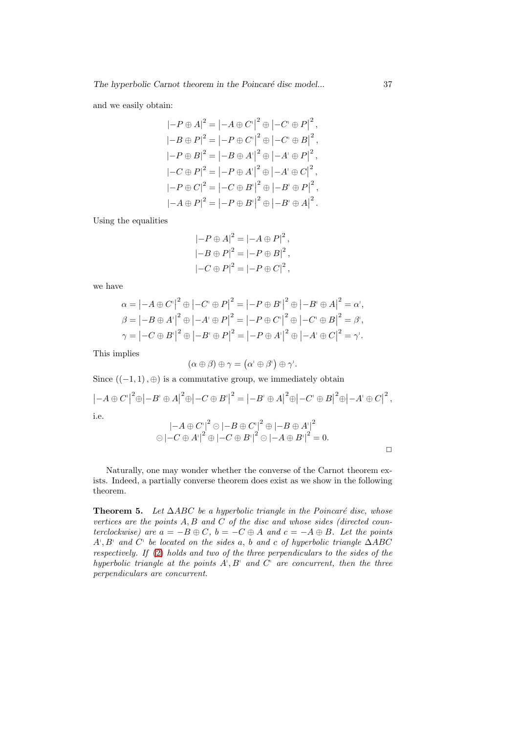and we easily obtain:

$$
|-P \oplus A|^2 = |-A \oplus C'|^2 \oplus |-C' \oplus P|^2,
$$
  
\n
$$
|-B \oplus P|^2 = |-P \oplus C'|^2 \oplus |-C' \oplus B|^2,
$$
  
\n
$$
|-P \oplus B|^2 = |-B \oplus A'|^2 \oplus |-A' \oplus P|^2,
$$
  
\n
$$
|-C \oplus P|^2 = |-P \oplus A'|^2 \oplus |-A' \oplus C|^2,
$$
  
\n
$$
|-P \oplus C|^2 = |-C \oplus B'|^2 \oplus |-B' \oplus P|^2,
$$
  
\n
$$
|-A \oplus P|^2 = |-P \oplus B'|^2 \oplus |-B' \oplus A|^2.
$$

Using the equalities

$$
|-P \oplus A|^2 = |-A \oplus P|^2,
$$
  
\n
$$
|-B \oplus P|^2 = |-P \oplus B|^2,
$$
  
\n
$$
|-C \oplus P|^2 = |-P \oplus C|^2,
$$

we have

$$
\alpha = \left| -A \oplus C' \right|^2 \oplus \left| -C' \oplus P \right|^2 = \left| -P \oplus B' \right|^2 \oplus \left| -B' \oplus A \right|^2 = \alpha',
$$
  

$$
\beta = \left| -B \oplus A' \right|^2 \oplus \left| -A' \oplus P \right|^2 = \left| -P \oplus C' \right|^2 \oplus \left| -C' \oplus B \right|^2 = \beta',
$$
  

$$
\gamma = \left| -C \oplus B' \right|^2 \oplus \left| -B' \oplus P \right|^2 = \left| -P \oplus A' \right|^2 \oplus \left| -A' \oplus C \right|^2 = \gamma'.
$$

This implies

$$
(\alpha \oplus \beta) \oplus \gamma = (\alpha' \oplus \beta') \oplus \gamma'.
$$

Since  $((-1, 1), \oplus)$  is a commutative group, we immediately obtain

$$
|-A \oplus C'|^{2} \oplus |-B' \oplus A|^{2} \oplus |-C \oplus B'|^{2} = |-B' \oplus A|^{2} \oplus |-C' \oplus B|^{2} \oplus |-A' \oplus C|^{2},
$$
  
i.e.  

$$
|-A \oplus C'|^{2} \oplus |-B \oplus C'|^{2} \oplus |-B \oplus A'|^{2}
$$

$$
\ominus |-C \oplus A'|^{2} \oplus |-C \oplus B'|^{2} \ominus |-A \oplus B'|^{2} = 0.
$$

Naturally, one may wonder whether the converse of the Carnot theorem exists. Indeed, a partially converse theorem does exist as we show in the following theorem.

<span id="page-4-0"></span>**Theorem 5.** Let  $\triangle ABC$  be a hyperbolic triangle in the Poincaré disc, whose vertices are the points  $A, B$  and  $C$  of the disc and whose sides (directed counterclockwise) are  $a = -B \oplus C$ ,  $b = -C \oplus A$  and  $c = -A \oplus B$ . Let the points  $A^{\dagger}, B^{\dagger}$  and  $C^{\dagger}$  be located on the sides a, b and c of hyperbolic triangle  $\Delta ABC$ respectively. If (2) holds and two of the three perpendiculars to the sides of the hyperbolic triangle at the points  $A^{\dagger}, B^{\dagger}$  and  $C^{\dagger}$  are concurrent, then the three perpendiculars are concurrent.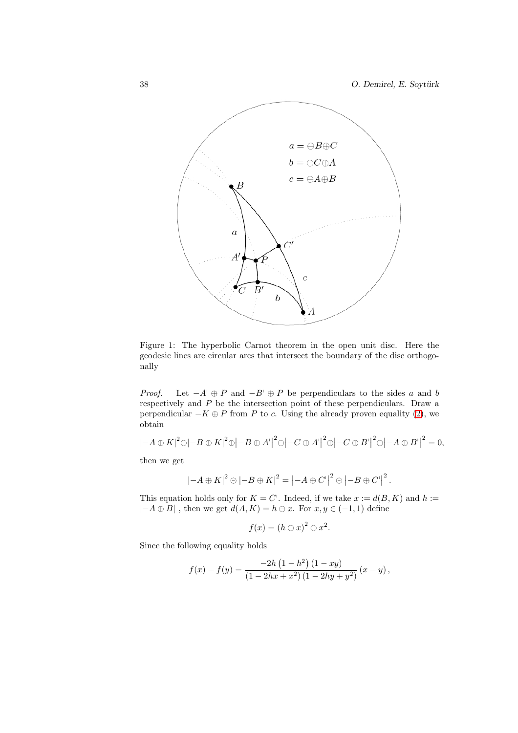

Figure 1: The hyperbolic Carnot theorem in the open unit disc. Here the geodesic lines are circular arcs that intersect the boundary of the disc orthogonally

*Proof.* Let  $-A^{\dagger} \oplus P$  and  $-B^{\dagger} \oplus P$  be perpendiculars to the sides a and b respectively and P be the intersection point of these perpendiculars. Draw a perpendicular  $-K \oplus P$  from P to c. Using the already proven equality (2), we obtain

$$
\left|-A\oplus K\right|^2\ominus\left|-B\oplus K\right|^2\oplus\left|-B\oplus A'\right|^2\ominus\left|-C\oplus A'\right|^2\oplus\left|-C\oplus B'\right|^2\ominus\left|-A\oplus B'\right|^2=0,
$$

then we get

$$
\left|-A\oplus K\right|^2\ominus\left|-B\oplus K\right|^2=\left|-A\oplus C'\right|^2\ominus\left|-B\oplus C'\right|^2.
$$

This equation holds only for  $K = C'$ . Indeed, if we take  $x := d(B, K)$  and  $h :=$  $|-A \oplus B|$ , then we get  $d(A, K) = h \ominus x$ . For  $x, y \in (-1, 1)$  define

$$
f(x) = (h \ominus x)^2 \ominus x^2.
$$

Since the following equality holds

$$
f(x) - f(y) = \frac{-2h(1-h^2)(1-xy)}{(1-2hx+x^2)(1-2hy+y^2)}(x-y),
$$